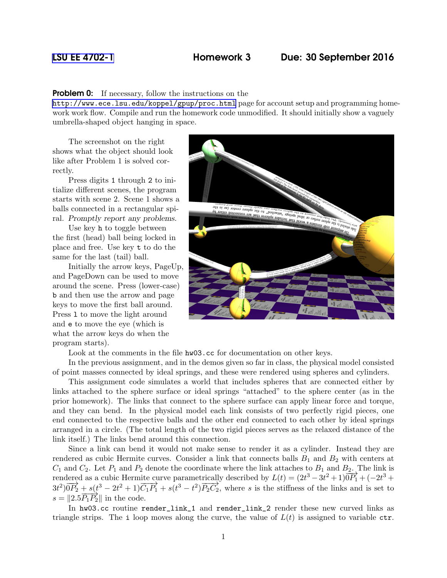## [LSU EE 4702-1](http://www.ece.lsu.edu/koppel/gpup/) Homework 3 Due: 30 September 2016

**Problem 0:** If necessary, follow the instructions on the

<http://www.ece.lsu.edu/koppel/gpup/proc.html> page for account setup and programming homework work flow. Compile and run the homework code unmodified. It should initially show a vaguely umbrella-shaped object hanging in space.

The screenshot on the right shows what the object should look like after Problem 1 is solved correctly.

Press digits 1 through 2 to initialize different scenes, the program starts with scene 2. Scene 1 shows a balls connected in a rectangular spiral. Promptly report any problems.

Use key h to toggle between the first (head) ball being locked in place and free. Use key t to do the same for the last (tail) ball.

Initially the arrow keys, PageUp, and PageDown can be used to move around the scene. Press (lower-case) b and then use the arrow and page keys to move the first ball around. Press l to move the light around and e to move the eye (which is what the arrow keys do when the program starts).



Look at the comments in the file hw03.cc for documentation on other keys.

In the previous assignment, and in the demos given so far in class, the physical model consisted of point masses connected by ideal springs, and these were rendered using spheres and cylinders.

This assignment code simulates a world that includes spheres that are connected either by links attached to the sphere surface or ideal springs "attached" to the sphere center (as in the prior homework). The links that connect to the sphere surface can apply linear force and torque, and they can bend. In the physical model each link consists of two perfectly rigid pieces, one end connected to the respective balls and the other end connected to each other by ideal springs arranged in a circle. (The total length of the two rigid pieces serves as the relaxed distance of the link itself.) The links bend around this connection.

Since a link can bend it would not make sense to render it as a cylinder. Instead they are rendered as cubic Hermite curves. Consider a link that connects balls  $B_1$  and  $B_2$  with centers at  $C_1$  and  $C_2$ . Let  $P_1$  and  $P_2$  denote the coordinate where the link attaches to  $B_1$  and  $B_2$ . The link is rendered as a cubic Hermite curve parametrically described by  $L(t) = (2t^3 - 3t^2 + 1)\overline{0P_1} + (-2t^3 +$  $3t^2$ ) $\overrightarrow{OP_2} + s(t^3 - 2t^2 + 1)\overrightarrow{C_1P_1} + s(t^3 - t^2)\overrightarrow{P_2C_2}$ , where s is the stiffness of the links and is set to  $s = ||2.5 \overrightarrow{P_1 P_2}||$  in the code.

In hw03.cc routine render\_link\_1 and render\_link\_2 render these new curved links as triangle strips. The i loop moves along the curve, the value of  $L(t)$  is assigned to variable ctr.